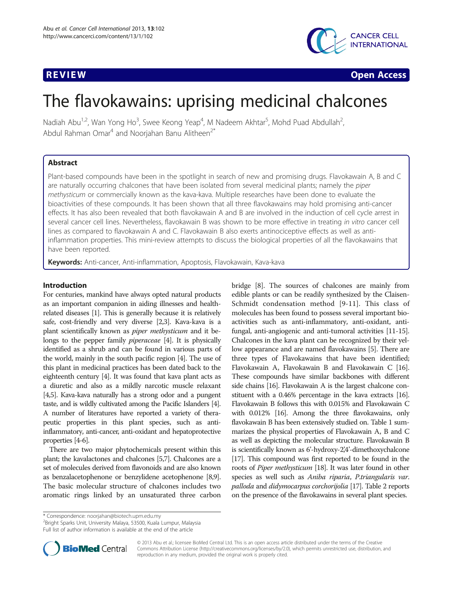

**REVIEW CONSTRUCTION CONSTRUCTION CONSTRUCTION CONSTRUCTS** 

# The flavokawains: uprising medicinal chalcones

Nadiah Abu<sup>1,2</sup>, Wan Yong Ho<sup>3</sup>, Swee Keong Yeap<sup>4</sup>, M Nadeem Akhtar<sup>5</sup>, Mohd Puad Abdullah<sup>2</sup> , Abdul Rahman Omar<sup>4</sup> and Noorjahan Banu Alitheen<sup> $2*$ </sup>

# Abstract

Plant-based compounds have been in the spotlight in search of new and promising drugs. Flavokawain A, B and C are naturally occurring chalcones that have been isolated from several medicinal plants; namely the piper methysticum or commercially known as the kava-kava. Multiple researches have been done to evaluate the bioactivities of these compounds. It has been shown that all three flavokawains may hold promising anti-cancer effects. It has also been revealed that both flavokawain A and B are involved in the induction of cell cycle arrest in several cancer cell lines. Nevertheless, flavokawain B was shown to be more effective in treating in vitro cancer cell lines as compared to flavokawain A and C. Flavokawain B also exerts antinociceptive effects as well as antiinflammation properties. This mini-review attempts to discuss the biological properties of all the flavokawains that have been reported.

Keywords: Anti-cancer, Anti-inflammation, Apoptosis, Flavokawain, Kava-kava

# Introduction

For centuries, mankind have always opted natural products as an important companion in aiding illnesses and healthrelated diseases [\[1](#page-5-0)]. This is generally because it is relatively safe, cost-friendly and very diverse [[2,3](#page-5-0)]. Kava-kava is a plant scientifically known as piper methysticum and it belongs to the pepper family *piperaceae* [\[4\]](#page-5-0). It is physically identified as a shrub and can be found in various parts of the world, mainly in the south pacific region [\[4\]](#page-5-0). The use of this plant in medicinal practices has been dated back to the eighteenth century [\[4](#page-5-0)]. It was found that kava plant acts as a diuretic and also as a mildly narcotic muscle relaxant [[4,5](#page-5-0)]. Kava-kava naturally has a strong odor and a pungent taste, and is wildly cultivated among the Pacific Islanders [\[4\]](#page-5-0). A number of literatures have reported a variety of therapeutic properties in this plant species, such as antiinflammatory, anti-cancer, anti-oxidant and hepatoprotective properties [\[4-6\]](#page-5-0).

There are two major phytochemicals present within this plant; the kavalactones and chalcones [\[5,7](#page-5-0)]. Chalcones are a set of molecules derived from flavonoids and are also known as benzalacetophenone or benzylidene acetophenone [\[8,9](#page-5-0)]. The basic molecular structure of chalcones includes two aromatic rings linked by an unsaturated three carbon bridge [\[8](#page-5-0)]. The sources of chalcones are mainly from edible plants or can be readily synthesized by the Claisen-Schmidt condensation method [[9-11](#page-5-0)]. This class of molecules has been found to possess several important bioactivities such as anti-inflammatory, anti-oxidant, antifungal, anti-angiogenic and anti-tumoral activities [\[11](#page-5-0)-[15](#page-5-0)]. Chalcones in the kava plant can be recognized by their yellow appearance and are named flavokawains [\[5\]](#page-5-0). There are three types of Flavokawains that have been identified; Flavokawain A, Flavokawain B and Flavokawain C [\[16](#page-5-0)]. These compounds have similar backbones with different side chains [\[16\]](#page-5-0). Flavokawain A is the largest chalcone constituent with a 0.46% percentage in the kava extracts [\[16](#page-5-0)]. Flavokawain B follows this with 0.015% and Flavokawain C with 0.012% [\[16\]](#page-5-0). Among the three flavokawains, only flavokawain B has been extensively studied on. Table [1](#page-1-0) summarizes the physical properties of Flavokawain A, B and C as well as depicting the molecular structure. Flavokawain B is scientifically known as 6'-hydroxy-2',4'-dimethoxychalcone [[17\]](#page-5-0). This compound was first reported to be found in the roots of Piper methysticum [\[18](#page-5-0)]. It was later found in other species as well such as Aniba riparia, P.triangularis var. palloda and didymocarpus corchorijolia [\[17\]](#page-5-0). Table [2](#page-1-0) reports on the presence of the flavokawains in several plant species.

<sup>2</sup>Bright Sparks Unit, University Malaya, 53500, Kuala Lumpur, Malaysia Full list of author information is available at the end of the article

**BioMed** Central

© 2013 Abu et al.; licensee BioMed Central Ltd. This is an open access article distributed under the terms of the Creative Commons Attribution License [\(http://creativecommons.org/licenses/by/2.0\)](http://creativecommons.org/licenses/by/2.0), which permits unrestricted use, distribution, and reproduction in any medium, provided the original work is properly cited.

<sup>\*</sup> Correspondence: [noorjahan@biotech.upm.edu.my](mailto:noorjahan@biotech.upm.edu.my) <sup>2</sup>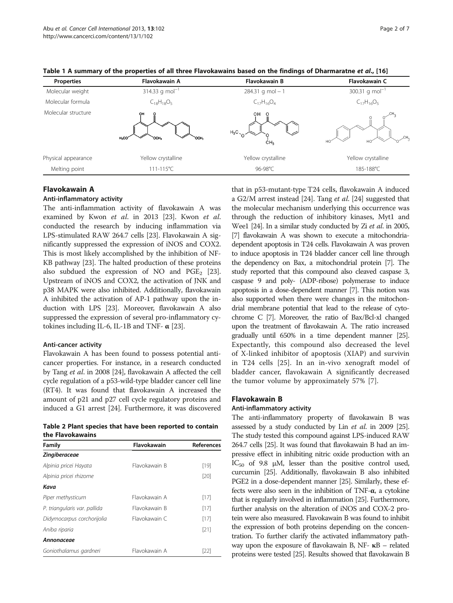| <b>Properties</b>   | Flavokawain A                   | <b>Flavokawain B</b>                                | <b>Flavokawain C</b>       |
|---------------------|---------------------------------|-----------------------------------------------------|----------------------------|
| Molecular weight    | 314.33 g mol <sup>-1</sup>      | $284.31$ g mol - 1                                  | 300.31 g mol <sup>-1</sup> |
| Molecular formula   | $C_{18}H_{18}O_5$               | $C_{17}H_{16}O_4$                                   | $C_{17}H_{16}O_5$          |
| Molecular structure | $H_3CO$<br>`OCH3<br><b>OCH3</b> | OН<br>$\circ$<br>$H_3C_{\gamma}$<br>CH <sub>3</sub> | ,cн,<br>HO<br>HO           |
| Physical appearance | Yellow crystalline              | Yellow crystalline                                  | Yellow crystalline         |
| Melting point       | 111-115°C                       | 96-98°C                                             | 185-188°C                  |

<span id="page-1-0"></span>Table 1 A summary of the properties of all three Flavokawains based on the findings of Dharmaratne et al., [[16](#page-5-0)]

# Flavokawain A

#### Anti-inflammatory activity

The anti-inflammation activity of flavokawain A was examined by Kwon et al. in 2013 [\[23\]](#page-5-0). Kwon et al. conducted the research by inducing inflammation via LPS-stimulated RAW 264.7 cells [[23](#page-5-0)]. Flavokawain A significantly suppressed the expression of iNOS and COX2. This is most likely accomplished by the inhibition of NF-ΚB pathway [\[23](#page-5-0)]. The halted production of these proteins also subdued the expression of NO and  $PGE_2$  [[23](#page-5-0)]. Upstream of iNOS and COX2, the activation of JNK and p38 MAPK were also inhibited. Additionally, flavokawain A inhibited the activation of AP-1 pathway upon the induction with LPS [[23](#page-5-0)]. Moreover, flavokawain A also suppressed the expression of several pro-inflammatory cytokines including IL-6, IL-1B and TNF-  $\alpha$  [\[23](#page-5-0)].

#### Anti-cancer activity

Flavokawain A has been found to possess potential anticancer properties. For instance, in a research conducted by Tang et al. in 2008 [\[24\]](#page-5-0), flavokawain A affected the cell cycle regulation of a p53-wild-type bladder cancer cell line (RT4). It was found that flavokawain A increased the amount of p21 and p27 cell cycle regulatory proteins and induced a G1 arrest [\[24\]](#page-5-0). Furthermore, it was discovered

Table 2 Plant species that have been reported to contain the Flavokawains

| Family                       | Flavokawain   | References |  |  |
|------------------------------|---------------|------------|--|--|
| <b>Zingiberaceae</b>         |               |            |  |  |
| Alpinia pricei Hayata        | Flavokawain B | $[19]$     |  |  |
| Alpinia pricei rhizome       |               | [20]       |  |  |
| Kava                         |               |            |  |  |
| Piper methysticum            | Flavokawain A | $[17]$     |  |  |
| P. triangularis var. pallida | Flavokawain B | $[17]$     |  |  |
| Didymocarpus corchorijolia   | Flavokawain C | $[17]$     |  |  |
| Aniba riparia                |               | [21]       |  |  |
| Annonaceae                   |               |            |  |  |
| Goniothalamus gardneri       | Flavokawain A | [22]       |  |  |

that in p53-mutant-type T24 cells, flavokawain A induced a G2/M arrest instead [\[24\]](#page-5-0). Tang et al. [[24](#page-5-0)] suggested that the molecular mechanism underlying this occurrence was through the reduction of inhibitory kinases, Myt1 and Wee1 [\[24](#page-5-0)]. In a similar study conducted by Zi et al. in 2005, [[7](#page-5-0)] flavokawain A was shown to execute a mitochondriadependent apoptosis in T24 cells. Flavokawain A was proven to induce apoptosis in T24 bladder cancer cell line through the dependency on Bax, a mitochondrial protein [\[7\]](#page-5-0). The study reported that this compound also cleaved caspase 3, caspase 9 and poly- (ADP-ribose) polymerase to induce apoptosis in a dose-dependent manner [\[7](#page-5-0)]. This notion was also supported when there were changes in the mitochondrial membrane potential that lead to the release of cytochrome C [\[7\]](#page-5-0). Moreover, the ratio of Bax/Bcl-xl changed upon the treatment of flavokawain A. The ratio increased gradually until 650% in a time dependent manner [\[25\]](#page-5-0). Expectantly, this compound also decreased the level of X-linked inhibitor of apoptosis (XIAP) and survivin in T24 cells [[25\]](#page-5-0). In an in-vivo xenograft model of bladder cancer, flavokawain A significantly decreased the tumor volume by approximately 57% [\[7](#page-5-0)].

#### Flavokawain B

#### Anti-inflammatory activity

The anti-inflammatory property of flavokawain B was assessed by a study conducted by Lin et al. in 2009 [\[25](#page-5-0)]. The study tested this compound against LPS-induced RAW 264.7 cells [\[25](#page-5-0)]. It was found that flavokawain B had an impressive effect in inhibiting nitric oxide production with an IC<sub>50</sub> of 9.8 μM, lesser than the positive control used, curcumin [\[25](#page-5-0)]. Additionally, flavokawain B also inhibited PGE2 in a dose-dependent manner [\[25](#page-5-0)]. Similarly, these effects were also seen in the inhibition of TNF- $\alpha$ , a cytokine that is regularly involved in inflammation [\[25](#page-5-0)]. Furthermore, further analysis on the alteration of iNOS and COX-2 protein were also measured. Flavokawain B was found to inhibit the expression of both proteins depending on the concentration. To further clarify the activated inflammatory pathway upon the exposure of flavokawain B, NF- κB – related proteins were tested [\[25\]](#page-5-0). Results showed that flavokawain B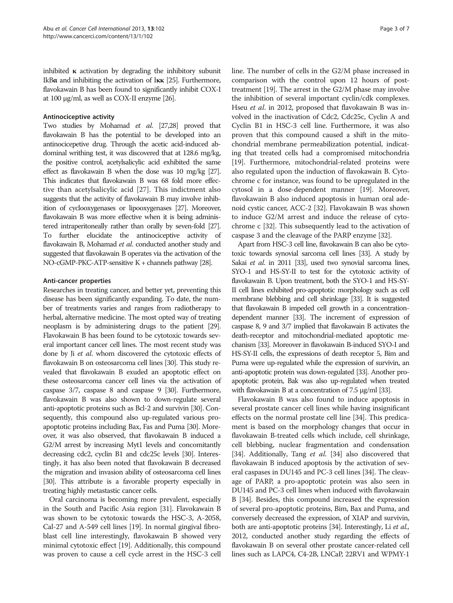inhibited  $\kappa$  activation by degrading the inhibitory subunit IkBα and inhibiting the activation of Iκκ [[25](#page-5-0)]. Furthermore, flavokawain B has been found to significantly inhibit COX-I at 100 μg/ml, as well as COX-II enzyme [\[26](#page-5-0)].

#### Antinociceptive activity

Two studies by Mohamad *et al.* [[27,28\]](#page-6-0) proved that flavokawain B has the potential to be developed into an antinocicepetive drug. Through the acetic acid-induced abdominal writhing test, it was discovered that at 128.6 mg/kg, the positive control, acetylsalicylic acid exhibited the same effect as flavokawain B when the dose was 10 mg/kg [\[27\]](#page-6-0). This indicates that flavokawain B was 68 fold more effective than acetylsalicylic acid [[27\]](#page-6-0). This indictment also suggests that the activity of flavokawain B may involve inhibition of cyclooxygenases or lipooxygenases [\[27](#page-6-0)]. Moreover, flavokawain B was more effective when it is being administered intraperitoneally rather than orally by seven-fold [\[27\]](#page-6-0). To further elucidate the antinociceptive activity of flavokawain B, Mohamad et al. conducted another study and suggested that flavokawain B operates via the activation of the NO-cGMP-PKC-ATP-sensitive K + channels pathway [\[28\]](#page-6-0).

# Anti-cancer properties

Researches in treating cancer, and better yet, preventing this disease has been significantly expanding. To date, the number of treatments varies and ranges from radiotherapy to herbal, alternative medicine. The most opted way of treating neoplasm is by administering drugs to the patient [\[29](#page-6-0)]. Flavokawain B has been found to be cytotoxic towards several important cancer cell lines. The most recent study was done by Ji et al. whom discovered the cytotoxic effects of flavokawain B on osteosarcoma cell lines [\[30\]](#page-6-0). This study revealed that flavokawain B exuded an apoptotic effect on these osteosarcoma cancer cell lines via the activation of caspase 3/7, caspase 8 and caspase 9 [\[30](#page-6-0)]. Furthermore, flavokawain B was also shown to down-regulate several anti-apoptotic proteins such as Bcl-2 and survivin [[30](#page-6-0)]. Consequently, this compound also up-regulated various proapoptotic proteins including Bax, Fas and Puma [[30\]](#page-6-0). Moreover, it was also observed, that flavokawain B induced a G2/M arrest by increasing Myt1 levels and concomitantly decreasing cdc2, cyclin B1 and cdc25c levels [\[30\]](#page-6-0). Interestingly, it has also been noted that flavokawain B decreased the migration and invasion ability of osteosarcoma cell lines [[30\]](#page-6-0). This attribute is a favorable property especially in treating highly metastastic cancer cells.

Oral carcinoma is becoming more prevalent, especially in the South and Pacific Asia region [\[31](#page-6-0)]. Flavokawain B was shown to be cytotoxic towards the HSC-3, A-2058, Cal-27 and A-549 cell lines [\[19\]](#page-5-0). In normal gingival fibroblast cell line interestingly, flavokawain B showed very minimal cytotoxic effect [\[19\]](#page-5-0). Additionally, this compound was proven to cause a cell cycle arrest in the HSC-3 cell line. The number of cells in the G2/M phase increased in comparison with the control upon 12 hours of posttreatment [[19](#page-5-0)]. The arrest in the G2/M phase may involve the inhibition of several important cyclin/cdk complexes. Hseu et al. in 2012, proposed that flavokawain B was involved in the inactivation of Cdc2, Cdc25c, Cyclin A and Cyclin B1 in HSC-3 cell line. Furthermore, it was also proven that this compound caused a shift in the mitochondrial membrane permeabilization potential, indicating that treated cells had a compromised mitochondria [[19](#page-5-0)]. Furthermore, mitochondrial-related proteins were also regulated upon the induction of flavokawain B. Cytochrome c for instance, was found to be upregulated in the cytosol in a dose-dependent manner [\[19\]](#page-5-0). Moreover, flavokawain B also induced apoptosis in human oral adenoid cystic cancer, ACC-2 [[32](#page-6-0)]. Flavokawain B was shown to induce G2/M arrest and induce the release of cytochrome c [\[32\]](#page-6-0). This subsequently lead to the activation of caspase 3 and the cleavage of the PARP enzyme [[32](#page-6-0)].

Apart from HSC-3 cell line, flavokawain B can also be cytotoxic towards synovial sarcoma cell lines [\[33\]](#page-6-0). A study by Sakai et al. in 2011 [[33\]](#page-6-0), used two synovial sarcoma lines, SYO-1 and HS-SY-II to test for the cytotoxic activity of flavokawain B. Upon treatment, both the SYO-1 and HS-SY-II cell lines exhibited pro-apoptotic morphology such as cell membrane blebbing and cell shrinkage [\[33](#page-6-0)]. It is suggested that flavokawain B impeded cell growth in a concentrationdependent manner [\[33](#page-6-0)]. The increment of expression of caspase 8, 9 and 3/7 implied that flavokawain B activates the death-receptor and mitochondrial-mediated apoptotic mechanism [\[33](#page-6-0)]. Moreover in flavokawain B-induced SYO-I and HS-SY-II cells, the expressions of death receptor 5, Bim and Puma were up-regulated while the expression of survivin, an anti-apoptotic protein was down-regulated [\[33](#page-6-0)]. Another proapoptotic protein, Bak was also up-regulated when treated with flavokawain B at a concentration of 7.5 μg/ml [\[33](#page-6-0)].

Flavokawain B was also found to induce apoptosis in several prostate cancer cell lines while having insignificant effects on the normal prostate cell line [\[34\]](#page-6-0). This predicament is based on the morphology changes that occur in flavokawain B-treated cells which include, cell shrinkage, cell blebbing, nuclear fragmentation and condensation [[34](#page-6-0)]. Additionally, Tang et al. [34] also discovered that flavokawain B induced apoptosis by the activation of several caspases in DU145 and PC-3 cell lines [[34](#page-6-0)]. The cleavage of PARP, a pro-apoptotic protein was also seen in DU145 and PC-3 cell lines when induced with flavokawain B [[34](#page-6-0)]. Besides, this compound increased the expression of several pro-apoptotic proteins, Bim, Bax and Puma, and conversely decreased the expression, of XIAP and survivin, both are anti-apoptotic proteins [[34](#page-6-0)]. Interestingly, Li et al., 2012, conducted another study regarding the effects of flavokawain B on several other prostate cancer-related cell lines such as LAPC4, C4-2B, LNCaP, 22RV1 and WPMY-1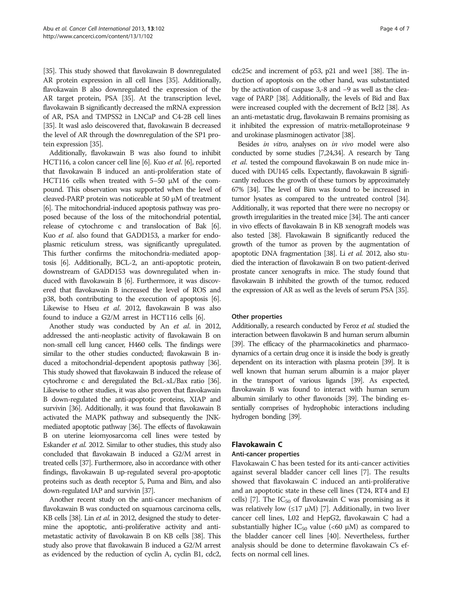[[35](#page-6-0)]. This study showed that flavokawain B downregulated AR protein expression in all cell lines [[35\]](#page-6-0). Additionally, flavokawain B also downregulated the expression of the AR target protein, PSA [\[35](#page-6-0)]. At the transcription level, flavokawain B significantly decreased the mRNA expression of AR, PSA and TMPSS2 in LNCaP and C4-2B cell lines [[35](#page-6-0)]. It wasl aslo deiscovered that, flavokawain B decreased the level of AR through the downregulation of the SP1 protein expression [\[35](#page-6-0)].

Additionally, flavokawain B was also found to inhibit HCT116, a colon cancer cell line [[6](#page-5-0)]. Kuo et al. [\[6\]](#page-5-0), reported that flavokawain B induced an anti-proliferation state of HCT116 cells when treated with 5–50 μM of the compound. This observation was supported when the level of cleaved-PARP protein was noticeable at 50 μM of treatment [[6](#page-5-0)]. The mitochondrial-induced apoptosis pathway was proposed because of the loss of the mitochondrial potential, release of cytochrome c and translocation of Bak [[6](#page-5-0)]. Kuo et al. also found that GADD153, a marker for endoplasmic reticulum stress, was significantly upregulated. This further confirms the mitochondria-mediated apoptosis [\[6](#page-5-0)]. Additionally, BCL-2, an anti-apoptotic protein, downstream of GADD153 was downregulated when induced with flavokawain B [[6](#page-5-0)]. Furthermore, it was discovered that flavokawain B increased the level of ROS and p38, both contributing to the execution of apoptosis [\[6](#page-5-0)]. Likewise to Hseu et al. 2012, flavokawain B was also found to induce a G2/M arrest in HCT116 cells [\[6\]](#page-5-0).

Another study was conducted by An et al. in 2012, addressed the anti-neoplastic activity of flavokawain B on non-small cell lung cancer, H460 cells. The findings were similar to the other studies conducted; flavokawain B induced a mitochondrial-dependent apoptosis pathway [\[36\]](#page-6-0). This study showed that flavokawain B induced the release of cytochrome c and deregulated the BcL-xL/Bax ratio [\[36\]](#page-6-0). Likewise to other studies, it was also proven that flavokawain B down-regulated the anti-apoptotic proteins, XIAP and survivin [\[36](#page-6-0)]. Additionally, it was found that flavokawain B activated the MAPK pathway and subsequently the JNKmediated apoptotic pathway [\[36](#page-6-0)]. The effects of flavokawain B on uterine leiomyosarcoma cell lines were tested by Eskander et al. 2012. Similar to other studies, this study also concluded that flavokawain B induced a G2/M arrest in treated cells [[37\]](#page-6-0). Furthermore, also in accordance with other findings, flavokawain B up-regulated several pro-apoptotic proteins such as death receptor 5, Puma and Bim, and also down-regulated IAP and survivin [\[37](#page-6-0)].

Another recent study on the anti-cancer mechanism of flavokawain B was conducted on squamous carcinoma cells, KB cells [\[38](#page-6-0)]. Lin *et al.* in 2012, designed the study to determine the apoptotic, anti-proliferative activity and antimetastatic activity of flavokawain B on KB cells [\[38](#page-6-0)]. This study also prove that flavokawain B induced a G2/M arrest as evidenced by the reduction of cyclin A, cyclin B1, cdc2,

cdc25c and increment of p53, p21 and wee1 [\[38\]](#page-6-0). The induction of apoptosis on the other hand, was substantiated by the activation of caspase 3,-8 and −9 as well as the cleavage of PARP [\[38](#page-6-0)]. Additionally, the levels of Bid and Bax were increased coupled with the decrement of Bcl2 [\[38](#page-6-0)]. As an anti-metastatic drug, flavokawain B remains promising as it inhibited the expression of matrix-metalloproteinase 9 and urokinase plasminogen activator [\[38\]](#page-6-0).

Besides in vitro, analyses on in vivo model were also conducted by some studies [[7,24](#page-5-0)[,34\]](#page-6-0). A research by Tang et al. tested the compound flavokawain B on nude mice induced with DU145 cells. Expectantly, flavokawain B significantly reduces the growth of these tumors by approximately 67% [\[34](#page-6-0)]. The level of Bim was found to be increased in tumor lysates as compared to the untreated control [\[34\]](#page-6-0). Additionally, it was reported that there were no necropsy or growth irregularities in the treated mice [\[34](#page-6-0)]. The anti cancer in vivo effects of flavokawain B in KB xenograft models was also tested [\[38](#page-6-0)]. Flavokawain B significantly reduced the growth of the tumor as proven by the augmentation of apoptotic DNA fragmentation [\[38](#page-6-0)]. Li et al. 2012, also studied the interaction of flavokawain B on two patient-derived prostate cancer xenografts in mice. The study found that flavokawain B inhibited the growth of the tumor, reduced the expression of AR as well as the levels of serum PSA [\[35](#page-6-0)].

#### Other properties

Additionally, a research conducted by Feroz et al. studied the interaction between flavokawin B and human serum albumin [[39\]](#page-6-0). The efficacy of the pharmacokinetics and pharmacodynamics of a certain drug once it is inside the body is greatly dependent on its interaction with plasma protein [\[39](#page-6-0)]. It is well known that human serum albumin is a major player in the transport of various ligands [\[39\]](#page-6-0). As expected, flavokawain B was found to interact with human serum albumin similarly to other flavonoids [\[39](#page-6-0)]. The binding essentially comprises of hydrophobic interactions including hydrogen bonding [\[39\]](#page-6-0).

# Flavokawain C

#### Anti-cancer properties

Flavokawain C has been tested for its anti-cancer activities against several bladder cancer cell lines [[7](#page-5-0)]. The results showed that flavokawain C induced an anti-proliferative and an apoptotic state in these cell lines (T24, RT4 and EJ cells) [[7\]](#page-5-0). The  $IC_{50}$  of flavokawain C was promising as it was relatively low  $(\leq 17 \mu M)$  [\[7](#page-5-0)]. Additionally, in two liver cancer cell lines, L02 and HepG2, flavokawain C had a substantially higher  $IC_{50}$  value (<60  $\mu$ M) as compared to the bladder cancer cell lines [\[40\]](#page-6-0). Nevertheless, further analysis should be done to determine flavokawain C's effects on normal cell lines.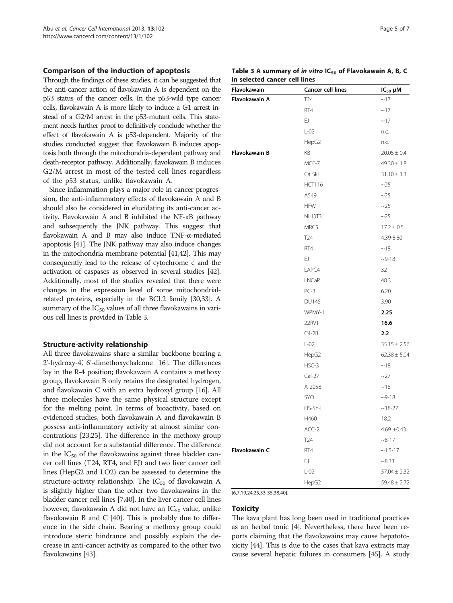#### Comparison of the induction of apoptosis

Through the findings of these studies, it can be suggested that the anti-cancer action of flavokawain A is dependent on the p53 status of the cancer cells. In the p53-wild type cancer cells, flavokawain A is more likely to induce a G1 arrest instead of a G2/M arrest in the p53-mutant cells. This statement needs further proof to definitively conclude whether the effect of flavokawain A is p53-dependent. Majority of the studies conducted suggest that flavokawain B induces apoptosis both through the mitochondria-dependent pathway and death-receptor pathway. Additionally, flavokawain B induces G2/M arrest in most of the tested cell lines regardless of the p53 status, unlike flavokawain A.

Since inflammation plays a major role in cancer progression, the anti-inflammatory effects of flavokawain A and B should also be considered in elucidating its anti-cancer activity. Flavokawain A and B inhibited the NF-κB pathway and subsequently the JNK pathway. This suggest that flavokawain A and B may also induce TNF-α-mediated apoptosis [[41\]](#page-6-0). The JNK pathway may also induce changes in the mitochondria membrane potential [[41,42](#page-6-0)]. This may consequently lead to the release of cytochrome c and the activation of caspases as observed in several studies [\[42](#page-6-0)]. Additionally, most of the studies revealed that there were changes in the expression level of some mitochondrialrelated proteins, especially in the BCL2 family [\[30,33](#page-6-0)]. A summary of the  $IC_{50}$  values of all three flavokawains in various cell lines is provided in Table 3.

#### Structure-activity relationship

All three flavokawains share a similar backbone bearing a 2'-hydroxy-4', 6'-dimethoxychalcone [\[16](#page-5-0)]. The differences lay in the R-4 position; flavokawain A contains a methoxy group, flavokawain B only retains the designated hydrogen, and flavokawain C with an extra hydroxyl group [[16](#page-5-0)]. All three molecules have the same physical structure except for the melting point. In terms of bioactivity, based on evidenced studies, both flavokawain A and flavokawain B possess anti-inflammatory activity at almost similar concentrations [[23,25\]](#page-5-0). The difference in the methoxy group did not account for a substantial difference. The difference in the  $IC_{50}$  of the flavokawains against three bladder cancer cell lines (T24, RT4, and EJ) and two liver cancer cell lines (HepG2 and LO2) can be assessed to determine the structure-activity relationship. The  $IC_{50}$  of flavokawain A is slightly higher than the other two flavokawains in the bladder cancer cell lines [[7](#page-5-0)[,40\]](#page-6-0). In the liver cancer cell lines however, flavokawain A did not have an  $IC_{50}$  value, unlike flavokawain B and C [\[40\]](#page-6-0). This is probably due to difference in the side chain. Bearing a methoxy group could introduce steric hindrance and possibly explain the decrease in anti-cancer activity as compared to the other two flavokawains [[43](#page-6-0)].

|  | Table 3 A summary of <i>in vitro</i> IC <sub>50</sub> of Flavokawain A, B, C |  |  |  |  |  |
|--|------------------------------------------------------------------------------|--|--|--|--|--|
|  | in selected cancer cell lines                                                |  |  |  |  |  |

| Flavokawain   | <b>Cancer cell lines</b> | $IC_{50}$ $µM$   |
|---------------|--------------------------|------------------|
| Flavokawain A | T24                      | ~17              |
|               | RT4                      | ~17              |
|               | EJ                       | ~17              |
|               | $L-02$                   | n.c.             |
|               | HepG2                    | n.c.             |
| Flavokawain B | KB                       | $20.05 \pm 0.4$  |
|               | MCF-7                    | $49.30 \pm 1.8$  |
|               | Ca Ski                   | $31.10 \pm 1.3$  |
|               | <b>HCT116</b>            | ~25              |
|               | A549                     | ~25              |
|               | <b>HFW</b>               | ~25              |
|               | NIH3T3                   | ~25              |
|               | MRC5                     | $17.2 \pm 0.5$   |
|               | T <sub>24</sub>          | 4.39-8.80        |
|               | RT4                      | ~18              |
|               | EJ.                      | $-9-18$          |
|               | LAPC4                    | 32               |
|               | LNCaP                    | 48.3             |
|               | $PC-3$                   | 6.20             |
|               | <b>DU145</b>             | 3.90             |
|               | WPMY-1                   | 2.25             |
|               | 22RV1                    | 16.6             |
|               | $C4-2B$                  | 2.2              |
|               | $L-02$                   | $35.15 \pm 2.56$ |
|               | HepG2                    | $62.38 \pm 5.04$ |
|               | HSC-3                    | ~18              |
|               | $Cal-27$                 | $-27$            |
|               | A-2058                   | ~18              |
|               | SYO                      | $-9-18$          |
|               | HS-SY-II                 | $~18 - 27$       |
|               | H460                     | 18.2             |
|               | ACC-2                    | $4.69 \pm 0.43$  |
|               | T <sub>24</sub>          | $-8-17$          |
| Flavokawain C | RT4                      | $~1.5 - 17$      |
|               | EJ                       | ~8.33            |
|               | $L-02$                   | $57.04 \pm 2.32$ |
|               | HepG2                    | $59.48 \pm 2.72$ |

[[6](#page-5-0),[7](#page-5-0),[19,24](#page-5-0),[25](#page-5-0)[,33](#page-6-0)-[35,](#page-6-0)[38](#page-5-0),[40\]](#page-6-0).

#### Toxicity

The kava plant has long been used in traditional practices as an herbal tonic [[4](#page-5-0)]. Nevertheless, there have been reports claiming that the flavokawains may cause hepatotoxicity [\[44\]](#page-6-0). This is due to the cases that kava extracts may cause several hepatic failures in consumers [[45](#page-6-0)]. A study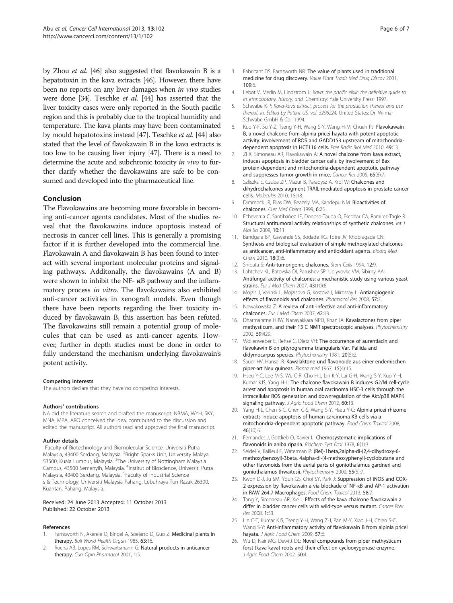<span id="page-5-0"></span>by Zhou et al. [[46](#page-6-0)] also suggested that flavokawain B is a hepatotoxin in the kava extracts [\[46\]](#page-6-0). However, there have been no reports on any liver damages when in vivo studies were done [\[34](#page-6-0)]. Teschke et al. [\[44\]](#page-6-0) has asserted that the liver toxicity cases were only reported in the South pacific region and this is probably due to the tropical humidity and temperature. The kava plants may have been contaminated by mould hepatotoxins instead [\[47](#page-6-0)]. Teschke et al. [\[44\]](#page-6-0) also stated that the level of flavokawain B in the kava extracts is too low to be causing liver injury [[47](#page-6-0)]. There is a need to determine the acute and subchronic toxicity in vivo to further clarify whether the flavokawains are safe to be consumed and developed into the pharmaceutical line.

# Conclusion

The Flavokawains are becoming more favorable in becoming anti-cancer agents candidates. Most of the studies reveal that the flavokawains induce apoptosis instead of necrosis in cancer cell lines. This is generally a promising factor if it is further developed into the commercial line. Flavokawain A and flavokawain B has been found to interact with several important molecular proteins and signaling pathways. Additonally, the flavokawains (A and B) were shown to inhibit the NF- κB pathway and the inflammatory process in vitro. The flavokawains also exhibited anti-cancer activities in xenograft models. Even though there have been reports regarding the liver toxicity induced by flavokawain B, this assertion has been refuted. The flavokawains still remain a potential group of molecules that can be used as anti-cancer agents. However, further in depth studies must be done in order to fully understand the mechanism underlying flavokawain's potent activity.

#### Competing interests

The authors declare that they have no competing interests.

#### Authors' contributions

NA did the literature search and drafted the manuscript. NBMA, WYH, SKY, MNA, MPA, ARO conceived the idea, contributed to the discussion and edited the manuscript. All authors read and approved the final manuscript.

#### Author details

<sup>1</sup> Faculty of Biotechnology and Biomolecular Science, Universiti Putra Malaysia, 43400 Serdang, Malaysia. <sup>2</sup>Bright Sparks Unit, University Malaya, 53500, Kuala Lumpur, Malaysia. <sup>3</sup>The University of Nottingham Malaysia Campus, 43500 Semenyih, Malaysia. <sup>4</sup>Institut of Bioscience, Universiti Putra Malaysia, 43400 Serdang, Malaysia. <sup>5</sup>Faculty of industrial Science s & Technology, Universiti Malaysia Pahang, Lebuhraya Tun Razak 26300, Kuantan, Pahang, Malaysia.

#### Received: 24 June 2013 Accepted: 11 October 2013 Published: 22 October 2013

#### References

- 1. Farnsworth N, Akerele O, Bingel A, Soejarto D, Guo Z: Medicinal plants in therapy. Bull World Health Organ 1985, 63:16.
- 2. Rocha AB, Lopes RM, Schwartsmann G: Natural products in anticancer therapy. Curr Opin Pharmacol 2001, 1:5.
- Fabricant DS, Farnsworth NR: The value of plants used in traditional medicine for drug discovery. Value Plant Tradit Med Drug Discov 2001, 109:6.
- 4. Lebot V, Merlin M, Lindstrom L: Kava: the pacific elixir: the definitive quide to its ethnobotany, history, and. Chemistry: Yale University Press; 1997.
- 5. Schwabe K-P: Kava-kava extract, process for the production thereof and use thereof. In. Edited by Patent US, vol. 5296224. United States: Dr. Wilmar Schwabe GmbH & Co.; 1994.
- 6. Kuo Y-F, Su Y-Z, Tseng Y-H, Wang S-Y, Wang H-M, Chueh PJ: Flavokawain B, a novel chalcone from alpinia pricei hayata with potent apoptotic activity: involvement of ROS and GADD153 upstream of mitochondriadependent apoptosis in HCT116 cells. Free Radic Biol Med 2010, 49:13.
- 7. Zi X, Simoneau AR, Flavokawain A: A novel chalcone from kava extract, induces apoptosis in bladder cancer cells by involvement of Bax protein-dependent and mitochondria-dependent apoptotic pathway and suppresses tumor growth in mice. Cancer Res 2005, 65(8):7.
- 8. Szliszka E, Czuba ZP, Mazur B, Paradysz A, Krol W: Chalcones and dihydrochalcones augment TRAIL-mediated apoptosis in prostate cancer cells. Molecules 2010, 15:18.
- 9. Dimmock JR, Elias DW, Beazely MA, Kandepu NM: Bioactivities of chalcones. Curr Med Chem 1999, 6:25.
- 10. Echeverria C, Santibañez JF, Donoso-Tauda O, Escobar CA, Ramirez-Tagle R: Structural antitumoral activity relationships of synthetic chalcones. Int J Mol Sci 2009, 10:11.
- 11. Bandgara BP, Gawande SS, Bodade RG, Totre JV, Khobragade CN: Synthesis and biological evaluation of simple methoxylated chalcones as anticancer, anti-inflammatory and antioxidant agents. Bioorg Med Chem 2010, 18(3):6.
- 12. Shibata S: Anti-tumorigenic chalcones. Stem Cells 1994, 12:9.
- 13. Lahtchev KL, Batovska DI, Parushev SP, Ubiyvovkc VM, Sibirny AA: Antifungal activity of chalcones: a mechanistic study using various yeast strains. Eur J Med Chem 2007, 43(10):8.
- 14. Mojzis J, Varinsk L, Mojzisova G, Kostova I, Mirossay L: Antiangiogenic effects of flavonoids and chalcones. Pharmacol Res 2008, 57:7.
- 15. Nowakowska Z: A review of anti-infective and anti-inflammatory chalcones. Eur J Med Chem 2007, 42:13.
- 16. Dharmaratne HRW, Nanayakkara NPD, Khan IA: Kavalactones from piper methysticum, and their 13 C NMR spectroscopic analyses. Phytochemistry 2002, 59:429.
- 17. Wollenweber E, Rehse C, Dietz VH: The occurrence of aurentiacin and flavokawin B on pityrogramma triangularis Var. Pallida and didymocarpus species. Phytochemistry 1981, 20(5):2.
- 18. Sauer HV, Hansel R: Kawalaktone und flavonoide aus einer endemischen piper-art Neu guineas. Planta med 1967, 15(4):15.
- 19. Hseu Y-C, Lee M-S, Wu C-R, Cho H-J, Lin K-Y, Lai G-H, Wang S-Y, Kuo Y-H, Kumar KJS, Yang H-L: The chalcone flavokawain B induces G2/M cell-cycle arrest and apoptosis in human oral carcinoma HSC-3 cells through the intracellular ROS generation and downregulation of the Akt/p38 MAPK signaling pathway. J Agric Food Chem 2012, 60:13.
- 20. Yang H-L, Chen S-C, Chen C-S, Wang S-Y, Hseu Y-C: Alpinia pricei rhizome extracts induce apoptosis of human carcinoma KB cells via a mitochondria-dependent apoptotic pathway. Food Chem Toxicol 2008, 46(10):6.
- 21. Fernandes J, Gottlieb O, Xavier L: Chemosystematic implications of flavonoids in aniba riparia. Biochem Syst Ecol 1978, 6(1):3.
- 22. Seidel V, Bailleul F, Waterman P: (Rel)-1beta,2alpha-di-(2,4-dihydroxy-6 methoxybenzoyl)-3beta, 4alpha-di-(4-methoxyphenyl)-cyclobutane and other flavonoids from the aerial parts of goniothalamus gardneri and goniothalamus thwaitesii. Phytochemistry 2000, 55(5):7.
- 23. Kwon D-J, Ju SM, Youn GS, Choi SY, Park J: Suppression of iNOS and COX-2 expression by flavokawain a via blockade of NF-κB and AP-1 activation in RAW 264.7 Macrophages. Food Chem Toxicol 2013, 58:7.
- 24. Tang Y, Simoneau AR, Xie J: Effects of the kava chalcone flavokawain a differ in bladder cancer cells with wild-type versus mutant. Cancer Prev Res 2008, 1:53.
- 25. Lin C-T, Kumar KJS, Tseng Y-H, Wang Z-J, Pan M-Y, Xiao J-H, Chien S-C, Wang S-Y: Anti-inflammatory activity of flavokawain B from alpinia pricei hayata. J Agric Food Chem 2009, 57:6.
- 26. Wu D, Nair MG, Dewitt DL: Novel compounds from piper methysticum forst (kava kava) roots and their effect on cyclooxygenase enzyme. J Agric Food Chem 2002, 50:4.